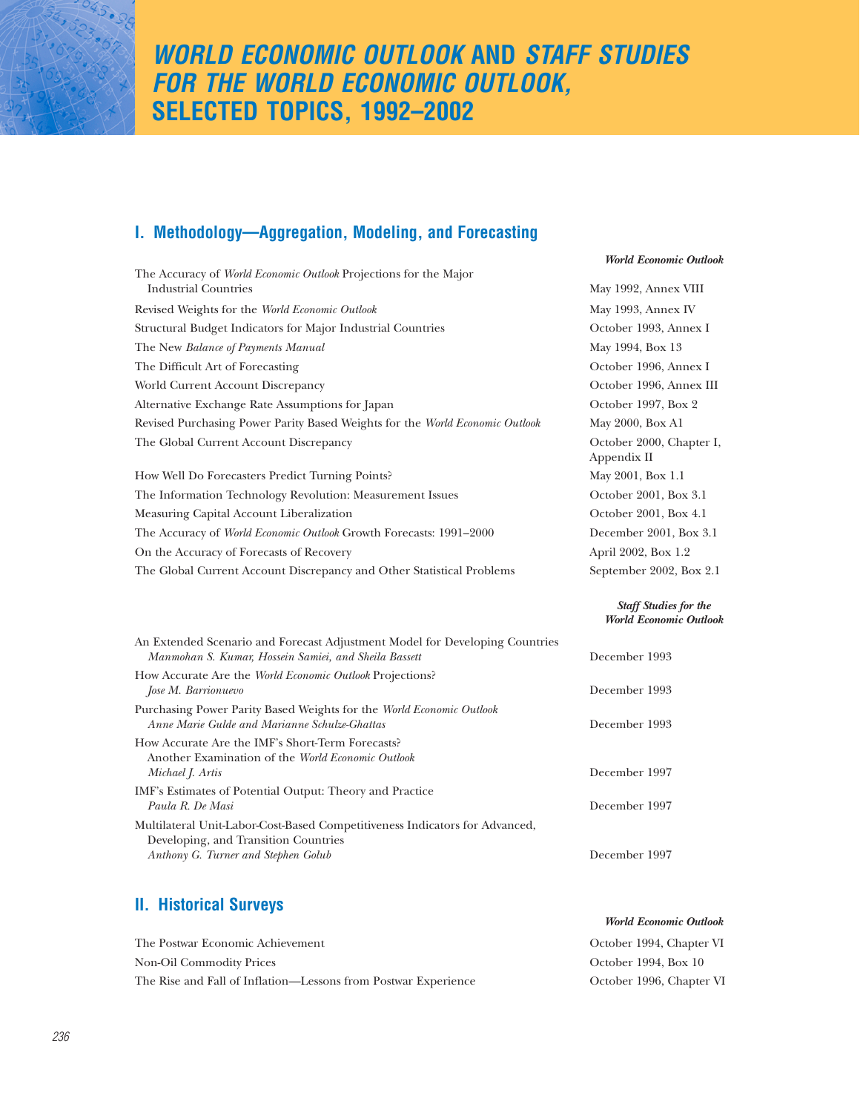# *WORLD ECONOMIC OUTLOOK* **AND** *STAFF STUDIES FOR THE WORLD ECONOMIC OUTLOOK,* **SELECTED TOPICS, 1992–2002**

# **I. Methodology—Aggregation, Modeling, and Forecasting**

|                                                                                                                                      | <b>World Economic Outlook</b>                                 |
|--------------------------------------------------------------------------------------------------------------------------------------|---------------------------------------------------------------|
| The Accuracy of World Economic Outlook Projections for the Major<br><b>Industrial Countries</b>                                      | May 1992, Annex VIII                                          |
| Revised Weights for the World Economic Outlook                                                                                       | May 1993, Annex IV                                            |
| Structural Budget Indicators for Major Industrial Countries                                                                          | October 1993, Annex I                                         |
| The New Balance of Payments Manual                                                                                                   | May 1994, Box 13                                              |
| The Difficult Art of Forecasting                                                                                                     | October 1996, Annex I                                         |
| World Current Account Discrepancy                                                                                                    | October 1996, Annex III                                       |
| Alternative Exchange Rate Assumptions for Japan                                                                                      | October 1997, Box 2                                           |
| Revised Purchasing Power Parity Based Weights for the World Economic Outlook                                                         | May 2000, Box A1                                              |
| The Global Current Account Discrepancy                                                                                               | October 2000, Chapter I,<br>Appendix II                       |
| How Well Do Forecasters Predict Turning Points?                                                                                      | May 2001, Box 1.1                                             |
| The Information Technology Revolution: Measurement Issues                                                                            | October 2001, Box 3.1                                         |
| Measuring Capital Account Liberalization                                                                                             | October 2001, Box 4.1                                         |
| The Accuracy of World Economic Outlook Growth Forecasts: 1991-2000                                                                   | December 2001, Box 3.1                                        |
| On the Accuracy of Forecasts of Recovery                                                                                             | April 2002, Box 1.2                                           |
| The Global Current Account Discrepancy and Other Statistical Problems                                                                | September 2002, Box 2.1                                       |
|                                                                                                                                      | <b>Staff Studies for the</b><br><b>World Economic Outlook</b> |
| An Extended Scenario and Forecast Adjustment Model for Developing Countries<br>Manmohan S. Kumar, Hossein Samiei, and Sheila Bassett | December 1993                                                 |
| How Accurate Are the World Economic Outlook Projections?<br>Jose M. Barrionuevo                                                      | December 1993                                                 |
| Purchasing Power Parity Based Weights for the World Economic Outlook<br>Anne Marie Gulde and Marianne Schulze-Ghattas                | December 1993                                                 |
| How Accurate Are the IMF's Short-Term Forecasts?<br>Another Examination of the World Economic Outlook                                | December 1997                                                 |
| Michael J. Artis                                                                                                                     |                                                               |
| IMF's Estimates of Potential Output: Theory and Practice<br>Paula R. De Masi                                                         | December 1997                                                 |
| Multilateral Unit-Labor-Cost-Based Competitiveness Indicators for Advanced,<br>Developing, and Transition Countries                  |                                                               |
| Anthony G. Turner and Stephen Golub                                                                                                  | December 1997                                                 |

# **II. Historical Surveys**

| The Postwar Economic Achievement                               | October 1994, Chapter VI |
|----------------------------------------------------------------|--------------------------|
| Non-Oil Commodity Prices                                       | October 1994. Box 10     |
| The Rise and Fall of Inflation—Lessons from Postwar Experience | October 1996, Chapter VI |

*World Economic Outlook*

*236*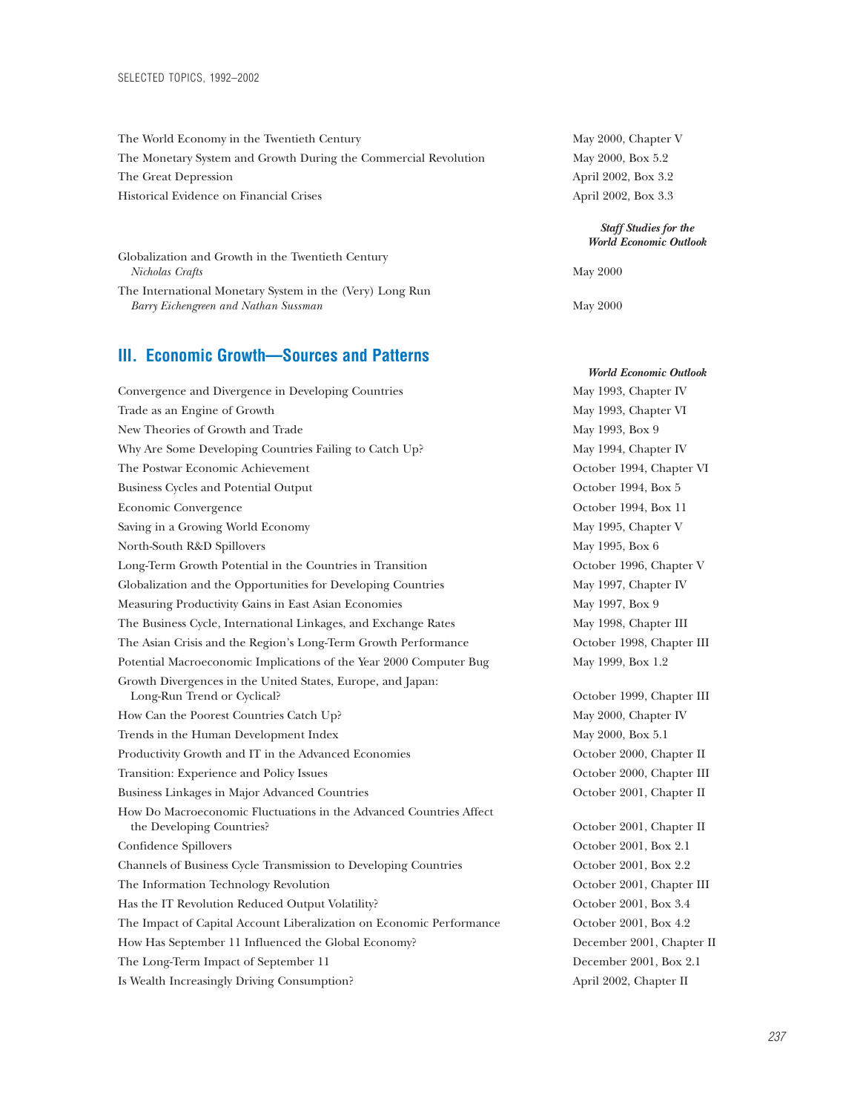| The World Economy in the Twentieth Century                                                       | May 2000, Chapter V                                        |
|--------------------------------------------------------------------------------------------------|------------------------------------------------------------|
| The Monetary System and Growth During the Commercial Revolution                                  | May 2000, Box 5.2                                          |
| The Great Depression                                                                             | April 2002, Box 3.2                                        |
| Historical Evidence on Financial Crises                                                          | April 2002, Box 3.3                                        |
|                                                                                                  | <b>Staff Studies for the</b><br><b>World Economic Outl</b> |
| Globalization and Growth in the Twentieth Century<br>Nicholas Crafts                             | May 2000                                                   |
| The International Monetary System in the (Very) Long Run<br>Barry Eichengreen and Nathan Sussman | May 2000                                                   |

### **III. Economic Growth—Sources and Patterns**

| Convergence and Divergence in Developing Countries                                              | May 1993, Chapter IV   |
|-------------------------------------------------------------------------------------------------|------------------------|
| Trade as an Engine of Growth                                                                    | May 1993, Chapter VI   |
| New Theories of Growth and Trade                                                                | May 1993, Box 9        |
| Why Are Some Developing Countries Failing to Catch Up?                                          | May 1994, Chapter IV   |
| The Postwar Economic Achievement                                                                | October 1994, Chapte   |
| <b>Business Cycles and Potential Output</b>                                                     | October 1994, Box 5    |
| Economic Convergence                                                                            | October 1994, Box 11   |
| Saving in a Growing World Economy                                                               | May 1995, Chapter V    |
| North-South R&D Spillovers                                                                      | May 1995, Box 6        |
| Long-Term Growth Potential in the Countries in Transition                                       | October 1996, Chapte   |
| Globalization and the Opportunities for Developing Countries                                    | May 1997, Chapter IV   |
| Measuring Productivity Gains in East Asian Economies                                            | May 1997, Box 9        |
| The Business Cycle, International Linkages, and Exchange Rates                                  | May 1998, Chapter III  |
| The Asian Crisis and the Region's Long-Term Growth Performance                                  | October 1998, Chapte   |
| Potential Macroeconomic Implications of the Year 2000 Computer Bug                              | May 1999, Box 1.2      |
| Growth Divergences in the United States, Europe, and Japan:<br>Long-Run Trend or Cyclical?      | October 1999, Chapte   |
| How Can the Poorest Countries Catch Up?                                                         | May 2000, Chapter IV   |
| Trends in the Human Development Index                                                           | May 2000, Box 5.1      |
| Productivity Growth and IT in the Advanced Economies                                            | October 2000, Chapte   |
| Transition: Experience and Policy Issues                                                        | October 2000, Chapte   |
| Business Linkages in Major Advanced Countries                                                   | October 2001, Chapte   |
| How Do Macroeconomic Fluctuations in the Advanced Countries Affect<br>the Developing Countries? | October 2001, Chapte   |
| Confidence Spillovers                                                                           | October 2001, Box 2.1  |
| Channels of Business Cycle Transmission to Developing Countries                                 | October 2001, Box 2.2  |
| The Information Technology Revolution                                                           | October 2001, Chapte   |
| Has the IT Revolution Reduced Output Volatility?                                                | October 2001, Box 3.4  |
| The Impact of Capital Account Liberalization on Economic Performance                            | October 2001, Box 4.2  |
| How Has September 11 Influenced the Global Economy?                                             | December 2001, Chap    |
| The Long-Term Impact of September 11                                                            | December 2001, Box 2   |
| Is Wealth Increasingly Driving Consumption?                                                     | April 2002, Chapter II |

#### *Staff Studies for the World Economic Outlook*

*World Economic Outlook*

May 1993, Chapter IV May 1993, Chapter VI May 1993, Box 9 May 1994, Chapter IV October 1994, Chapter VI October 1994, Box 5 October 1994, Box 11 May 1995, Chapter V May 1995, Box 6 October 1996, Chapter V May 1997, Chapter IV May 1997, Box 9 May 1998, Chapter III October 1998, Chapter III May 1999, Box 1.2

October 1999, Chapter III May 2000, Chapter IV May 2000, Box 5.1 October 2000, Chapter II October 2000, Chapter III October 2001, Chapter II

October 2001, Chapter II October 2001, Box 2.1 October 2001, Box 2.2 October 2001, Chapter III October 2001, Box 3.4 October 2001, Box 4.2 December 2001, Chapter II December 2001, Box 2.1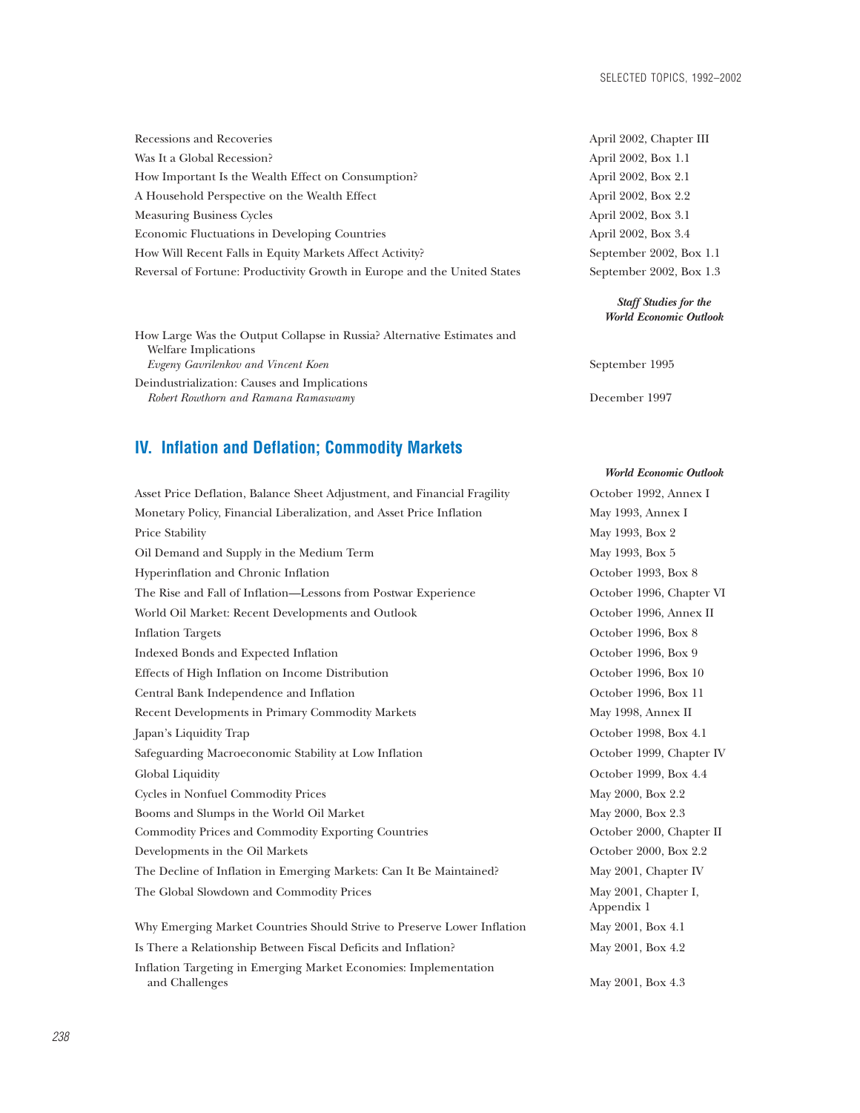| Recessions and Recoveries                                                | April 2002, Chapter III |
|--------------------------------------------------------------------------|-------------------------|
| Was It a Global Recession?                                               | April 2002, Box 1.1     |
| How Important Is the Wealth Effect on Consumption?                       | April 2002, Box 2.1     |
| A Household Perspective on the Wealth Effect                             | April 2002, Box 2.2     |
| <b>Measuring Business Cycles</b>                                         | April 2002, Box 3.1     |
| <b>Economic Fluctuations in Developing Countries</b>                     | April 2002, Box 3.4     |
| How Will Recent Falls in Equity Markets Affect Activity?                 | September 2002, Box 1.1 |
| Reversal of Fortune: Productivity Growth in Europe and the United States | September 2002, Box 1.3 |
|                                                                          |                         |

How Large Was the Output Collapse in Russia? Alternative Estimates and Welfare Implications *Evgeny Gavrilenkov and Vincent Koen* September 1995 Deindustrialization: Causes and Implications *Robert Rowthorn and Ramana Ramaswamy* December 1997

### **IV. Inflation and Deflation; Commodity Markets**

Asset Price Deflation, Balance Sheet Adjustment, and Financial Fragility October 1992, Annex I Monetary Policy, Financial Liberalization, and Asset Price Inflation May 1993, Annex I Price Stability May 1993, Box 2 Oil Demand and Supply in the Medium Term May 1993, Box 5 Hyperinflation and Chronic Inflation October 1993, Box 8 The Rise and Fall of Inflation—Lessons from Postwar Experience October 1996, Chapter VI World Oil Market: Recent Developments and Outlook October 1996, Annex II Inflation Targets October 1996, Box 8 Indexed Bonds and Expected Inflation October 1996, Box 9 Effects of High Inflation on Income Distribution **October 1996, Box 10** Central Bank Independence and Inflation October 1996, Box 11 Recent Developments in Primary Commodity Markets May 1998, Annex II Japan's Liquidity Trap October 1998, Box 4.1 Safeguarding Macroeconomic Stability at Low Inflation October 1999, Chapter IV Global Liquidity Crooker 1999, Box 4.4 Cycles in Nonfuel Commodity Prices May 2000, Box 2.2 Booms and Slumps in the World Oil Market May 2000, Box 2.3 Commodity Prices and Commodity Exporting Countries **Commodity Prices and Commodity Exporting Countries** October 2000, Chapter II Developments in the Oil Markets **October 2000, Box 2.2** The Decline of Inflation in Emerging Markets: Can It Be Maintained? May 2001, Chapter IV The Global Slowdown and Commodity Prices May 2001, Chapter I, Why Emerging Market Countries Should Strive to Preserve Lower Inflation May 2001, Box 4.1 Is There a Relationship Between Fiscal Deficits and Inflation? May 2001, Box 4.2 Inflation Targeting in Emerging Market Economies: Implementation

| <i>i</i> ipin 4004, unapiti ni |
|--------------------------------|
| April 2002, Box 1.1            |
| April 2002, Box 2.1            |
| April 2002, Box 2.2            |
| April 2002, Box 3.1            |
| April 2002, Box 3.4            |
| September 2002, Box 1.1        |
| September 2002, Box 1.3        |

### *Staff Studies for the World Economic Outlook*

#### *World Economic Outlook*

Appendix 1

and Challenges May 2001, Box 4.3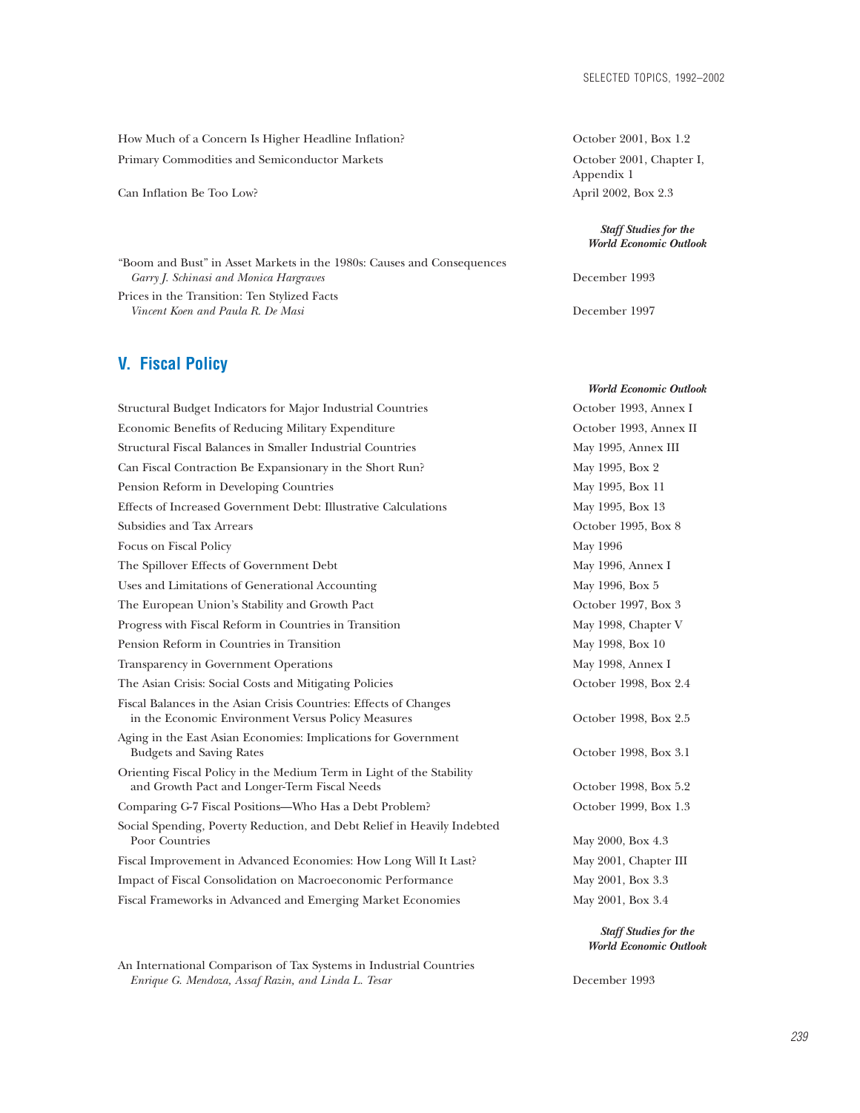How Much of a Concern Is Higher Headline Inflation? October 2001, Box 1.2 Primary Commodities and Semiconductor Markets **Commodities and Semiconductor Markets** October 2001, Chapter I,

Can Inflation Be Too Low? April 2002, Box 2.3

"Boom and Bust" in Asset Markets in the 1980s: Causes and Consequences *Garry J. Schinasi and Monica Hargraves* December 1993

Prices in the Transition: Ten Stylized Facts *Vincent Koen and Paula R. De Masi* December 1997

## **V. Fiscal Policy**

| Structural Budget Indicators for Major Industrial Countries                                                             | October 1993, Annex I                                  |
|-------------------------------------------------------------------------------------------------------------------------|--------------------------------------------------------|
| Economic Benefits of Reducing Military Expenditure                                                                      | October 1993, Annex II                                 |
| Structural Fiscal Balances in Smaller Industrial Countries                                                              | May 1995, Annex III                                    |
| Can Fiscal Contraction Be Expansionary in the Short Run?                                                                | May 1995, Box 2                                        |
| Pension Reform in Developing Countries                                                                                  | May 1995, Box 11                                       |
| Effects of Increased Government Debt: Illustrative Calculations                                                         | May 1995, Box 13                                       |
| Subsidies and Tax Arrears                                                                                               | October 1995, Box 8                                    |
| Focus on Fiscal Policy                                                                                                  | May 1996                                               |
| The Spillover Effects of Government Debt                                                                                | May 1996, Annex I                                      |
| Uses and Limitations of Generational Accounting                                                                         | May 1996, Box 5                                        |
| The European Union's Stability and Growth Pact                                                                          | October 1997, Box 3                                    |
| Progress with Fiscal Reform in Countries in Transition                                                                  | May 1998, Chapter V                                    |
| Pension Reform in Countries in Transition                                                                               | May 1998, Box 10                                       |
| Transparency in Government Operations                                                                                   | May 1998, Annex I                                      |
| The Asian Crisis: Social Costs and Mitigating Policies                                                                  | October 1998, Box 2.4                                  |
| Fiscal Balances in the Asian Crisis Countries: Effects of Changes<br>in the Economic Environment Versus Policy Measures | October 1998, Box 2.5                                  |
| Aging in the East Asian Economies: Implications for Government<br><b>Budgets and Saving Rates</b>                       | October 1998, Box 3.1                                  |
| Orienting Fiscal Policy in the Medium Term in Light of the Stability<br>and Growth Pact and Longer-Term Fiscal Needs    | October 1998, Box 5.2                                  |
| Comparing G-7 Fiscal Positions-Who Has a Debt Problem?                                                                  | October 1999, Box 1.3                                  |
| Social Spending, Poverty Reduction, and Debt Relief in Heavily Indebted<br>Poor Countries                               | May 2000, Box 4.3                                      |
| Fiscal Improvement in Advanced Economies: How Long Will It Last?                                                        | May 2001, Chapter III                                  |
| Impact of Fiscal Consolidation on Macroeconomic Performance                                                             | May 2001, Box 3.3                                      |
| Fiscal Frameworks in Advanced and Emerging Market Economies                                                             | May 2001, Box 3.4                                      |
|                                                                                                                         | <b>Staff Studies for the</b><br>World Economic Outlook |

An International Comparison of Tax Systems in Industrial Countries *Enrique G. Mendoza, Assaf Razin, and Linda L. Tesar* December 1993

Appendix 1

*Staff Studies for the World Economic Outlook*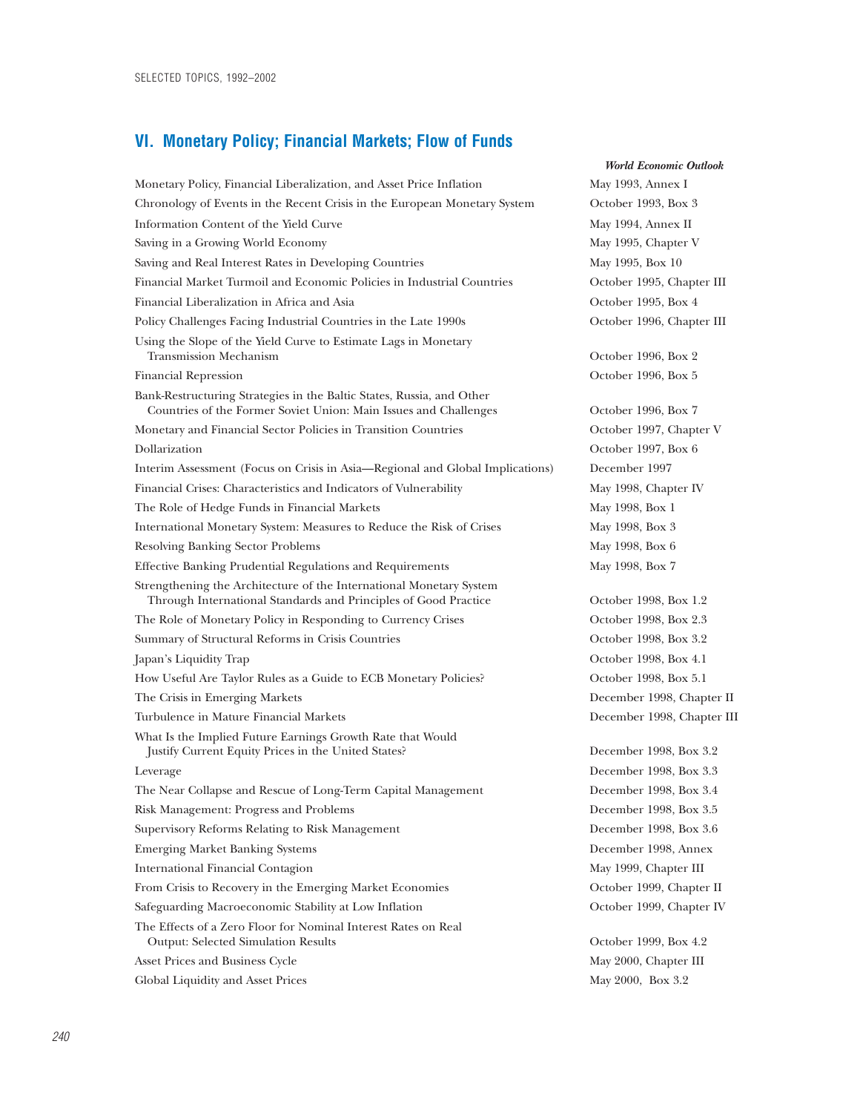### **VI. Monetary Policy; Financial Markets; Flow of Funds**

Monetary Policy, Financial Liberalization, and Asset Price Inflation May 1993, Annex I Chronology of Events in the Recent Crisis in the European Monetary System October 1993, Box 3 Information Content of the Yield Curve May 1994, Annex II Saving in a Growing World Economy and the state of the May 1995, Chapter V Saving and Real Interest Rates in Developing Countries May 1995, Box 10 Financial Market Turmoil and Economic Policies in Industrial Countries October 1995, Chapter III Financial Liberalization in Africa and Asia October 1995, Box 4 Policy Challenges Facing Industrial Countries in the Late 1990s October 1996, Chapter III Using the Slope of the Yield Curve to Estimate Lags in Monetary Transmission Mechanism October 1996, Box 2 Financial Repression October 1996, Box 5 Bank-Restructuring Strategies in the Baltic States, Russia, and Other Countries of the Former Soviet Union: Main Issues and Challenges October 1996, Box 7 Monetary and Financial Sector Policies in Transition Countries **Exercise Constant Constant Constant** October 1997, Chapter V Dollarization October 1997, Box 6 Interim Assessment (Focus on Crisis in Asia—Regional and Global Implications) December 1997 Financial Crises: Characteristics and Indicators of Vulnerability May 1998, Chapter IV The Role of Hedge Funds in Financial Markets May 1998, Box 1 International Monetary System: Measures to Reduce the Risk of Crises May 1998, Box 3 Resolving Banking Sector Problems and American May 1998, Box 6 Effective Banking Prudential Regulations and Requirements May 1998, Box 7 Strengthening the Architecture of the International Monetary System Through International Standards and Principles of Good Practice October 1998, Box 1.2 The Role of Monetary Policy in Responding to Currency Crises Cotober 1998, Box 2.3 Summary of Structural Reforms in Crisis Countries October 1998, Box 3.2 Japan's Liquidity Trap October 1998, Box 4.1 How Useful Are Taylor Rules as a Guide to ECB Monetary Policies? October 1998, Box 5.1 The Crisis in Emerging Markets December 1998, Chapter II Turbulence in Mature Financial Markets December 1998, Chapter III What Is the Implied Future Earnings Growth Rate that Would Justify Current Equity Prices in the United States? December 1998, Box 3.2 Leverage December 1998, Box 3.3 The Near Collapse and Rescue of Long-Term Capital Management December 1998, Box 3.4 Risk Management: Progress and Problems December 1998, Box 3.5 Supervisory Reforms Relating to Risk Management December 1998, Box 3.6 Emerging Market Banking Systems December 1998, Annex International Financial Contagion May 1999, Chapter III From Crisis to Recovery in the Emerging Market Economies **October 1999, Chapter II** Safeguarding Macroeconomic Stability at Low Inflation October 1999, Chapter IV The Effects of a Zero Floor for Nominal Interest Rates on Real Output: Selected Simulation Results October 1999, Box 4.2 Asset Prices and Business Cycle The May 2000, Chapter III Global Liquidity and Asset Prices and Asset Prices May 2000, Box 3.2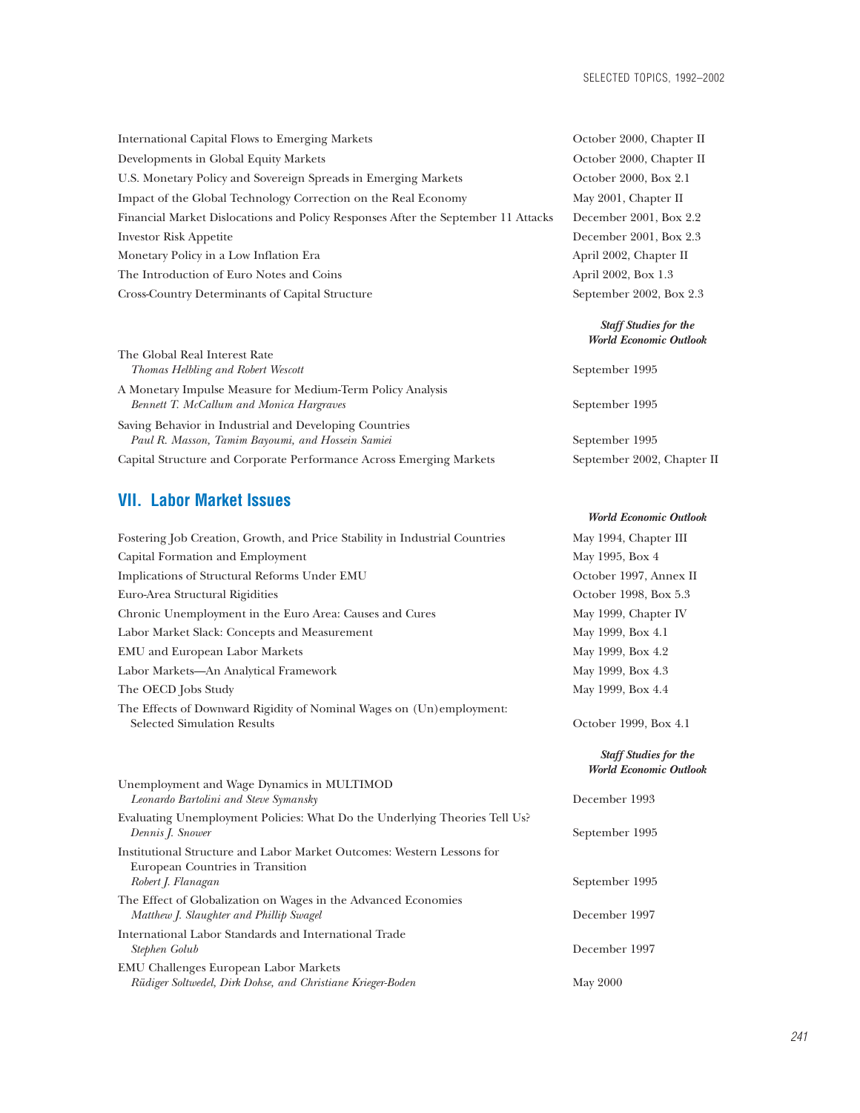*Staff Studies for the*

*World Economic Outlook*

| International Capital Flows to Emerging Markets                                   | October 2000, Chapter II |
|-----------------------------------------------------------------------------------|--------------------------|
| Developments in Global Equity Markets                                             | October 2000, Chapter II |
| U.S. Monetary Policy and Sovereign Spreads in Emerging Markets                    | October 2000, Box 2.1    |
| Impact of the Global Technology Correction on the Real Economy                    | May 2001, Chapter II     |
| Financial Market Dislocations and Policy Responses After the September 11 Attacks | December 2001, Box 2.2   |
| <b>Investor Risk Appetite</b>                                                     | December 2001, Box 2.3   |
| Monetary Policy in a Low Inflation Era                                            | April 2002, Chapter II   |
| The Introduction of Euro Notes and Coins                                          | April 2002, Box 1.3      |
| Cross-Country Determinants of Capital Structure                                   | September 2002, Box 2.3  |
|                                                                                   |                          |

|                                                                                                               | <b>World Economic Outlook</b> |
|---------------------------------------------------------------------------------------------------------------|-------------------------------|
| The Global Real Interest Rate<br>Thomas Helbling and Robert Wescott                                           | September 1995                |
| A Monetary Impulse Measure for Medium-Term Policy Analysis<br><b>Bennett T. McCallum and Monica Hargraves</b> | September 1995                |
| Saving Behavior in Industrial and Developing Countries<br>Paul R. Masson, Tamim Bayoumi, and Hossein Samiei   | September 1995                |
| Capital Structure and Corporate Performance Across Emerging Markets                                           | September 2002, Chapter II    |

# **VII. Labor Market Issues**

| Fostering Job Creation, Growth, and Price Stability in Industrial Countries                                | May 1994, Chapter III         |
|------------------------------------------------------------------------------------------------------------|-------------------------------|
| Capital Formation and Employment                                                                           | May 1995, Box 4               |
| Implications of Structural Reforms Under EMU                                                               | October 1997, Annex II        |
| Euro-Area Structural Rigidities                                                                            | October 1998, Box 5.3         |
| Chronic Unemployment in the Euro Area: Causes and Cures                                                    | May 1999, Chapter IV          |
| Labor Market Slack: Concepts and Measurement                                                               | May 1999, Box 4.1             |
| <b>EMU</b> and European Labor Markets                                                                      | May 1999, Box 4.2             |
| Labor Markets-An Analytical Framework                                                                      | May 1999, Box 4.3             |
| The OECD Jobs Study                                                                                        | May 1999, Box 4.4             |
| The Effects of Downward Rigidity of Nominal Wages on (Un)employment:<br><b>Selected Simulation Results</b> | October 1999, Box 4.1         |
|                                                                                                            | <b>Staff Studies for the</b>  |
|                                                                                                            | <b>World Economic Outlook</b> |
| Unemployment and Wage Dynamics in MULTIMOD<br>Leonardo Bartolini and Steve Symansky                        | December 1993                 |
| Evaluating Unemployment Policies: What Do the Underlying Theories Tell Us?<br>Dennis J. Snower             | September 1995                |
| Institutional Structure and Labor Market Outcomes: Western Lessons for<br>European Countries in Transition |                               |
| Robert J. Flanagan                                                                                         | September 1995                |
| The Effect of Globalization on Wages in the Advanced Economies<br>Matthew J. Slaughter and Phillip Swagel  | December 1997                 |
| International Labor Standards and International Trade<br>Stephen Golub                                     | December 1997                 |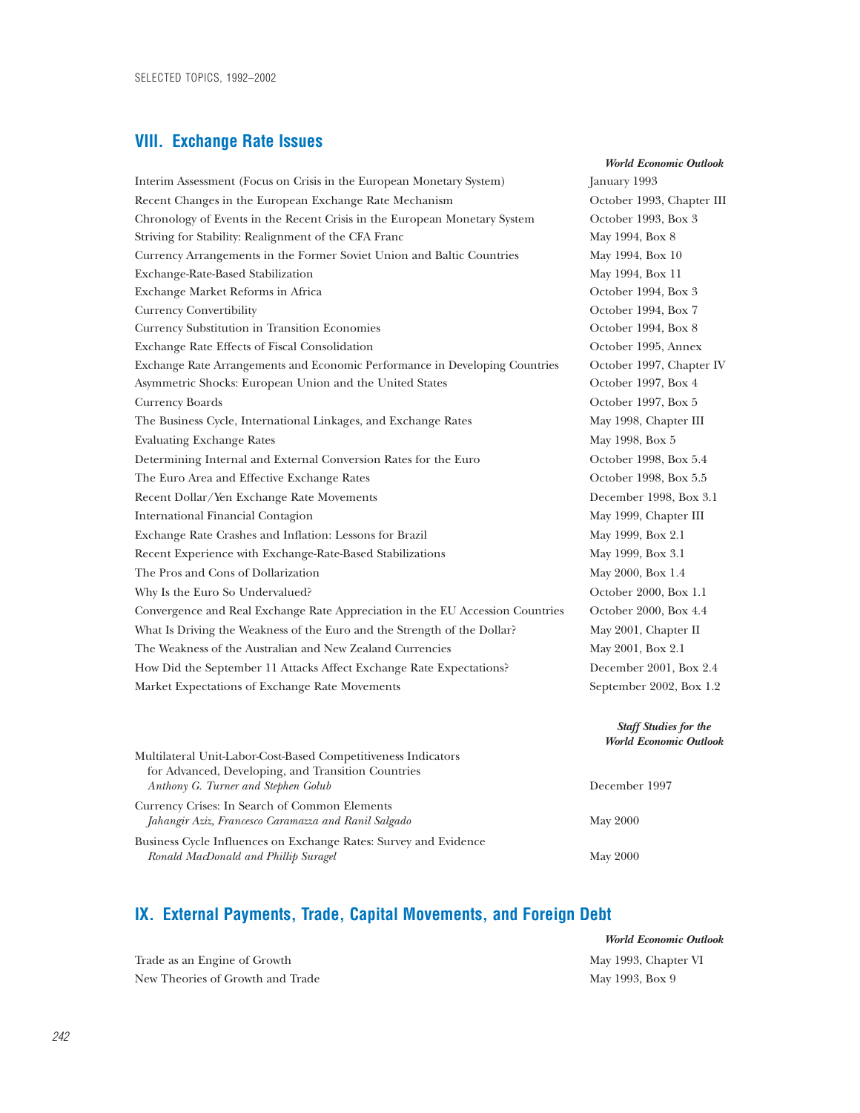### **VIII. Exchange Rate Issues**

Interim Assessment (Focus on Crisis in the European Monetary System) January 1993 Recent Changes in the European Exchange Rate Mechanism October 1993, Chapter III Chronology of Events in the Recent Crisis in the European Monetary System October 1993, Box 3 Striving for Stability: Realignment of the CFA Franc May 1994, Box 8 Currency Arrangements in the Former Soviet Union and Baltic Countries May 1994, Box 10 Exchange-Rate-Based Stabilization and May 1994, Box 11 Exchange Market Reforms in Africa October 1994, Box 3 Currency Convertibility October 1994, Box 7 Currency Substitution in Transition Economies October 1994, Box 8 Exchange Rate Effects of Fiscal Consolidation October 1995, Annex Exchange Rate Arrangements and Economic Performance in Developing Countries October 1997, Chapter IV Asymmetric Shocks: European Union and the United States **Canadian Construction Construction** October 1997, Box 4 Currency Boards October 1997, Box 5 The Business Cycle, International Linkages, and Exchange Rates May 1998, Chapter III Evaluating Exchange Rates May 1998, Box 5 Determining Internal and External Conversion Rates for the Euro Corober 1998, Box 5.4 The Euro Area and Effective Exchange Rates **Calculate 2018** October 1998, Box 5.5 Recent Dollar/Yen Exchange Rate Movements December 1998, Box 3.1 International Financial Contagion and May 1999, Chapter III Exchange Rate Crashes and Inflation: Lessons for Brazil May 1999, Box 2.1 Recent Experience with Exchange-Rate-Based Stabilizations May 1999, Box 3.1 The Pros and Cons of Dollarization May 2000, Box 1.4 Why Is the Euro So Undervalued? Conservation of the Euro So Undervalued? Conservation of the Euro So Undervalued? Convergence and Real Exchange Rate Appreciation in the EU Accession Countries October 2000, Box 4.4 What Is Driving the Weakness of the Euro and the Strength of the Dollar? May 2001, Chapter II The Weakness of the Australian and New Zealand Currencies May 2001, Box 2.1 How Did the September 11 Attacks Affect Exchange Rate Expectations? December 2001, Box 2.4 Market Expectations of Exchange Rate Movements September 2002, Box 1.2

*World Economic Outlook*

#### *Staff Studies for the World Economic Outlook*

| munimateral Chin Labor Cost Dascu Competitiveness municators<br>for Advanced, Developing, and Transition Countries |               |
|--------------------------------------------------------------------------------------------------------------------|---------------|
| Anthony G. Turner and Stephen Golub                                                                                | December 1997 |
| Currency Crises: In Search of Common Elements<br>Jahangir Aziz, Francesco Caramazza and Ranil Salgado              | May 2000      |
| Business Cycle Influences on Exchange Rates: Survey and Evidence                                                   |               |
| Ronald MacDonald and Phillip Suragel                                                                               | May 2000      |

### **IX. External Payments, Trade, Capital Movements, and Foreign Debt**

Multilateral Unit-Labor-Cost-Based Competitiveness Indicators

|              | <b>World Economic Outlook</b> |
|--------------|-------------------------------|
| Growth       | May 1993, Chapter VI          |
| th and Trade | May 1993, Box 9               |

Trade as an Engine of New Theories of Grow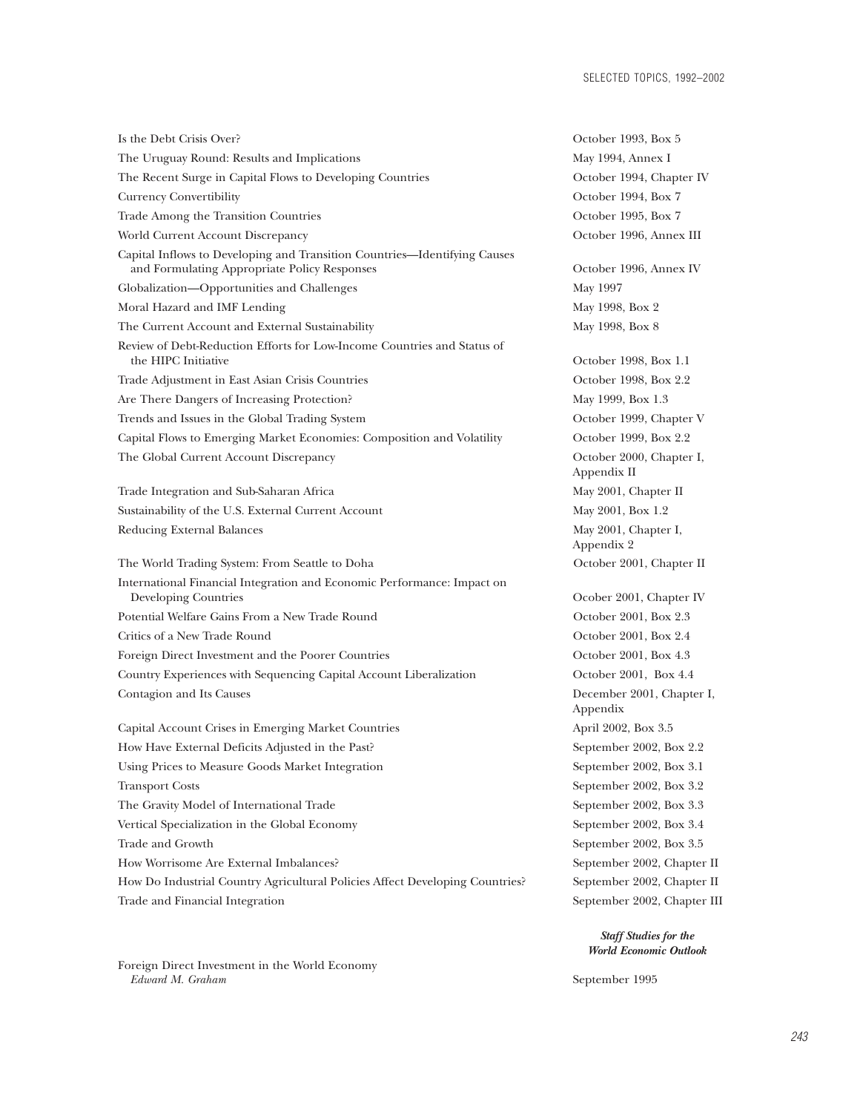Is the Debt Crisis Over? October 1993, Box 5.5 Using the Debt Crisis Over? The Uruguay Round: Results and Implications The Recent Surge in Capital Flows to Developing Countries Currency Convertibility Trade Among the Transition Countries World Current Account Discrepancy Capital Inflows to Developing and Transition Countries—Identifying Causes and Formulating Appropriate Policy Responses Globalization—Opportunities and Challenges Moral Hazard and IMF Lending The Current Account and External Sustainability Review of Debt-Reduction Efforts for Low-Income Countries and Status of the HIPC Initiative Trade Adjustment in East Asian Crisis Countries Are There Dangers of Increasing Protection? Trends and Issues in the Global Trading System Capital Flows to Emerging Market Economies: Composition and Volatility The Global Current Account Discrepancy Trade Integration and Sub-Saharan Africa Sustainability of the U.S. External Current Account Reducing External Balances The World Trading System: From Seattle to Doha International Financial Integration and Economic Performance: Impact on Developing Countries Potential Welfare Gains From a New Trade Round Critics of a New Trade Round Foreign Direct Investment and the Poorer Countries Country Experiences with Sequencing Capital Account Liberalization Contagion and Its Causes Capital Account Crises in Emerging Market Countries How Have External Deficits Adjusted in the Past? Using Prices to Measure Goods Market Integration Transport Costs The Gravity Model of International Trade Vertical Specialization in the Global Economy Trade and Growth How Worrisome Are External Imbalances?

How Do Industrial Country Agricultural Policies Affect Developing Countries? Trade and Financial Integration

Foreign Direct Investment in the World Economy<br>Edward M. Graham

| OCtober 1999, DOX 9                   |
|---------------------------------------|
| May 1994, Annex I                     |
| October 1994, Chapter IV              |
| October 1994, Box 7                   |
| October 1995, Box 7                   |
| October 1996, Annex III               |
| October 1996, Annex IV                |
| May 1997                              |
| May 1998, Box 2                       |
| May 1998, Box 8                       |
| October 1998, Box 1.1                 |
| October 1998, Box 2.2                 |
| May 1999, Box 1.3                     |
| October 1999, Chapter V               |
| October 1999, Box 2.2                 |
| October 2000, Chapter I,              |
| Appendix II                           |
| May 2001, Chapter II                  |
| May 2001, Box 1.2                     |
| May 2001, Chapter I,                  |
| Appendix 2                            |
| October 2001, Chapter II              |
| Ocober 2001, Chapter IV               |
| October 2001, Box 2.3                 |
| October 2001, Box 2.4                 |
| October 2001, Box 4.3                 |
| October 2001, Box 4.4                 |
| December 2001, Chapter I,<br>Appendix |
| April 2002, Box 3.5                   |
| September 2002, Box 2.2               |
| September 2002, Box 3.1               |
| September 2002, Box 3.2               |
| September 2002, Box 3.3               |
| September 2002, Box 3.4               |
| September 2002, Box 3.5               |
| September 2002, Chapter II            |
| September 2002, Chapter II            |
| September 2002, Chapter III           |

*Staff Studies for the World Economic Outlook*

*Edward M. Graham* September 1995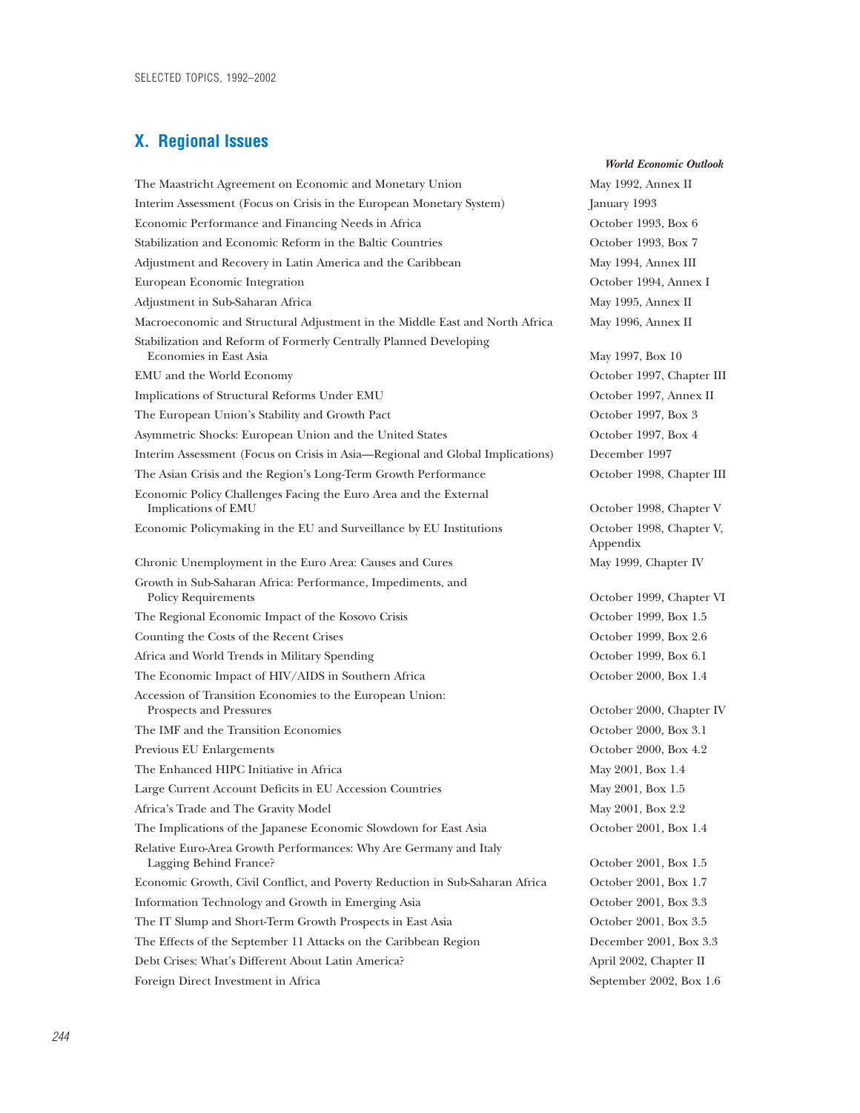### **X. Regional Issues**

The Maastricht Agreement on Economic and Monetary Union May 1992, Annex II Interim Assessment (Focus on Crisis in the European Monetary System) January 1993 Economic Performance and Financing Needs in Africa October 1993, Box 6 Stabilization and Economic Reform in the Baltic Countries **Stabilization** October 1993, Box 7 Adjustment and Recovery in Latin America and the Caribbean May 1994, Annex III European Economic Integration October 1994, Annex I Adjustment in Sub-Saharan Africa and a state of the May 1995, Annex II Macroeconomic and Structural Adjustment in the Middle East and North Africa May 1996, Annex II Stabilization and Reform of Formerly Centrally Planned Developing Economies in East Asia May 1997, Box 10 EMU and the World Economy October 1997, Chapter III Implications of Structural Reforms Under EMU October 1997, Annex II The European Union's Stability and Growth Pact **Canadian Control Control Control** Corober 1997, Box 3 Asymmetric Shocks: European Union and the United States October 1997, Box 4 Interim Assessment (Focus on Crisis in Asia—Regional and Global Implications) December 1997 The Asian Crisis and the Region's Long-Term Growth Performance October 1998, Chapter III Economic Policy Challenges Facing the Euro Area and the External Implications of EMU  $\qquad \qquad$  October 1998, Chapter V Economic Policymaking in the EU and Surveillance by EU Institutions October 1998, Chapter V, Chronic Unemployment in the Euro Area: Causes and Cures May 1999, Chapter IV Growth in Sub-Saharan Africa: Performance, Impediments, and Policy Requirements October 1999, Chapter VI The Regional Economic Impact of the Kosovo Crisis **Canadian Coronal Contract October 1999**, Box 1.5 Counting the Costs of the Recent Crises October 1999, Box 2.6 Africa and World Trends in Military Spending and More of the Case of the October 1999, Box 6.1 The Economic Impact of HIV/AIDS in Southern Africa  $\qquad \qquad$  October 2000, Box 1.4 Accession of Transition Economies to the European Union: Prospects and Pressures October 2000, Chapter IV The IMF and the Transition Economies October 2000, Box 3.1 Previous EU Enlargements October 2000, Box 4.2 The Enhanced HIPC Initiative in Africa May 2001, Box 1.4 Large Current Account Deficits in EU Accession Countries May 2001, Box 1.5 Africa's Trade and The Gravity Model May 2001, Box 2.2 The Implications of the Japanese Economic Slowdown for East Asia October 2001, Box 1.4 Relative Euro-Area Growth Performances: Why Are Germany and Italy Lagging Behind France? October 2001, Box 1.5 Economic Growth, Civil Conflict, and Poverty Reduction in Sub-Saharan Africa October 2001, Box 1.7 Information Technology and Growth in Emerging Asia October 2001, Box 3.3 The IT Slump and Short-Term Growth Prospects in East Asia October 2001, Box 3.5 The Effects of the September 11 Attacks on the Caribbean Region December 2001, Box 3.3 Debt Crises: What's Different About Latin America? April 2002, Chapter II Foreign Direct Investment in Africa September 2002, Box 1.6

Appendix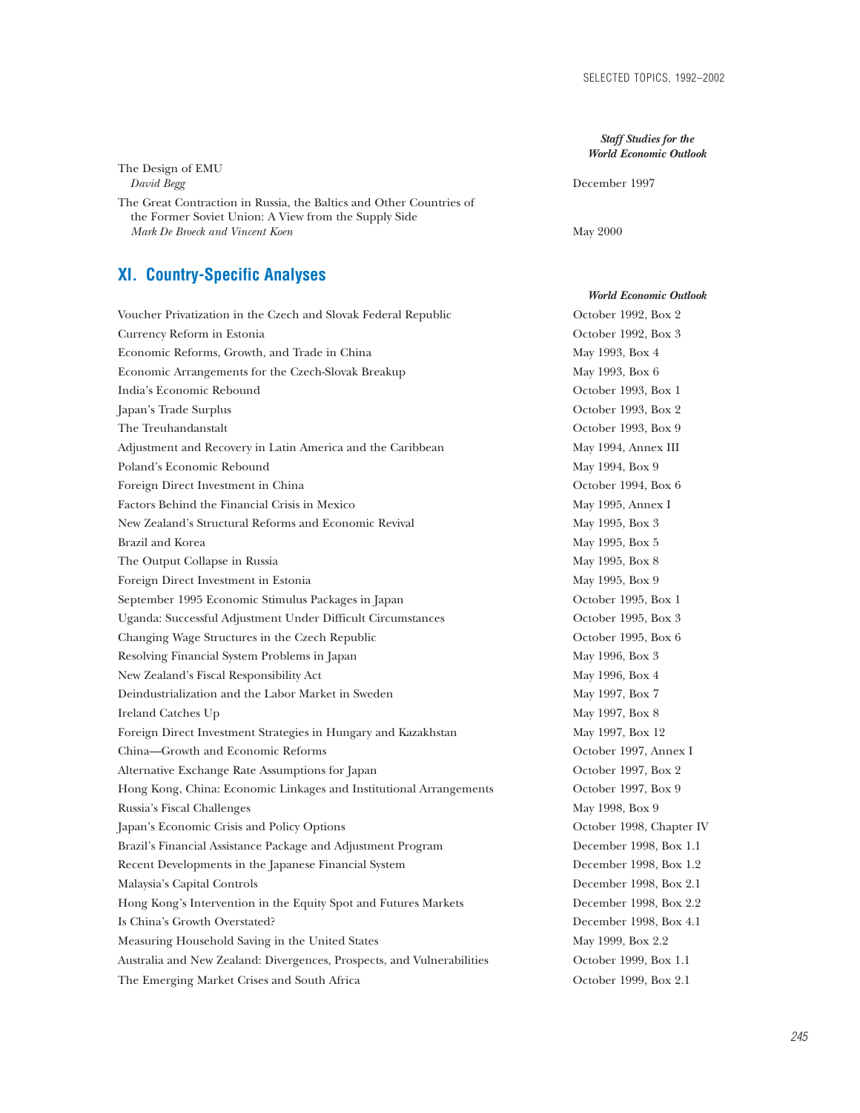*Staff Studies for the World Economic Outlook*

*David Begg* December 1997

### The Great Contraction in Russia, the Baltics and Other Countries of the Former Soviet Union: A View from the Supply Side *Mark De Broeck and Vincent Koen* May 2000

### **XI. Country-Specific Analyses**

The Design of EMU

Voucher Privatization in the Czech and Slovak Federal Republic October 1992, Box 2 Currency Reform in Estonia October 1992, Box 3 Economic Reforms, Growth, and Trade in China May 1993, Box 4 Economic Arrangements for the Czech-Slovak Breakup May 1993, Box 6 India's Economic Rebound **Containers** Constanting Constanting Constanting Constanting Constanting October 1993, Box 1 Japan's Trade Surplus October 1993, Box 2 The Treuhandanstalt October 1993, Box 9 Adjustment and Recovery in Latin America and the Caribbean May 1994, Annex III Poland's Economic Rebound and May 1994, Box 9 Foreign Direct Investment in China October 1994, Box 6 Factors Behind the Financial Crisis in Mexico May 1995, Annex I New Zealand's Structural Reforms and Economic Revival May 1995, Box 3 Brazil and Korea May 1995, Box 5 The Output Collapse in Russia and The Output Collapse in Russia and May 1995, Box 8 Foreign Direct Investment in Estonia May 1995, Box 9 September 1995 Economic Stimulus Packages in Japan October 1995, Box 1 Uganda: Successful Adjustment Under Difficult Circumstances October 1995, Box 3 Changing Wage Structures in the Czech Republic Changing October 1995, Box 6 Resolving Financial System Problems in Japan May 1996, Box 3 New Zealand's Fiscal Responsibility Act May 1996, Box 4 Deindustrialization and the Labor Market in Sweden May 1997, Box 7 Ireland Catches Up **May 1997, Box 8** Foreign Direct Investment Strategies in Hungary and Kazakhstan May 1997, Box 12 China—Growth and Economic Reforms October 1997, Annex I Alternative Exchange Rate Assumptions for Japan October 1997, Box 2 Hong Kong, China: Economic Linkages and Institutional Arrangements October 1997, Box 9 Russia's Fiscal Challenges and the state of the May 1998, Box 9 Japan's Economic Crisis and Policy Options October 1998, Chapter IV Brazil's Financial Assistance Package and Adjustment Program December 1998, Box 1.1 Recent Developments in the Japanese Financial System December 1998, Box 1.2 Malaysia's Capital Controls December 1998, Box 2.1 Hong Kong's Intervention in the Equity Spot and Futures Markets December 1998, Box 2.2 Is China's Growth Overstated? December 1998, Box 4.1 Measuring Household Saving in the United States May 1999, Box 2.2 Australia and New Zealand: Divergences, Prospects, and Vulnerabilities October 1999, Box 1.1 The Emerging Market Crises and South Africa October 1999, Box 2.1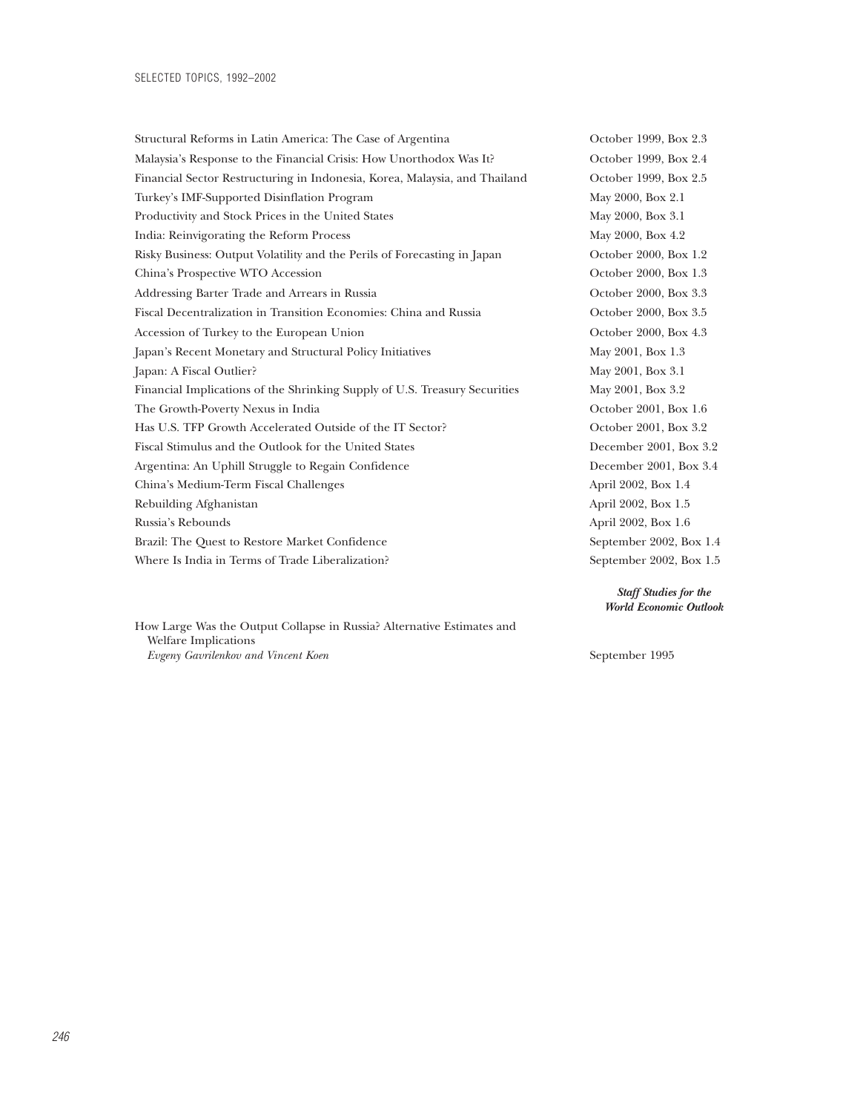Structural Reforms in Latin America: The Case of Argentina October 1999, Box 2.3 Malaysia's Response to the Financial Crisis: How Unorthodox Was It? October 1999, Box 2.4 Financial Sector Restructuring in Indonesia, Korea, Malaysia, and Thailand October 1999, Box 2.5 Turkey's IMF-Supported Disinflation Program May 2000, Box 2.1 Productivity and Stock Prices in the United States May 2000, Box 3.1 India: Reinvigorating the Reform Process May 2000, Box 4.2 Risky Business: Output Volatility and the Perils of Forecasting in Japan October 2000, Box 1.2 China's Prospective WTO Accession China's Prospective WTO Accession October 2000, Box 1.3 Addressing Barter Trade and Arrears in Russia **December 2000, Box 3.3** October 2000, Box 3.3 Fiscal Decentralization in Transition Economies: China and Russia October 2000, Box 3.5 Accession of Turkey to the European Union **Calcular Contract Contract Contract Contract Contract Contract Contract Contract Contract Contract Contract Contract Contract Contract Contract Contract Contract Contract Contract** Japan's Recent Monetary and Structural Policy Initiatives May 2001, Box 1.3 Japan: A Fiscal Outlier? May 2001, Box 3.1 Financial Implications of the Shrinking Supply of U.S. Treasury Securities May 2001, Box 3.2 The Growth-Poverty Nexus in India October 2001, Box 1.6 Has U.S. TFP Growth Accelerated Outside of the IT Sector? October 2001, Box 3.2 Fiscal Stimulus and the Outlook for the United States December 2001, Box 3.2 Argentina: An Uphill Struggle to Regain Confidence **December 2001, Box 3.4** China's Medium-Term Fiscal Challenges April 2002, Box 1.4 Rebuilding Afghanistan April 2002, Box 1.5 Russia's Rebounds April 2002, Box 1.6 Brazil: The Quest to Restore Market Confidence September 2002, Box 1.4 Where Is India in Terms of Trade Liberalization? September 2002, Box 1.5

How Large Was the Output Collapse in Russia? Alternative Estimates and Welfare Implications *Evgeny Gavrilenkov and Vincent Koen* September 1995

*Staff Studies for the World Economic Outlook*